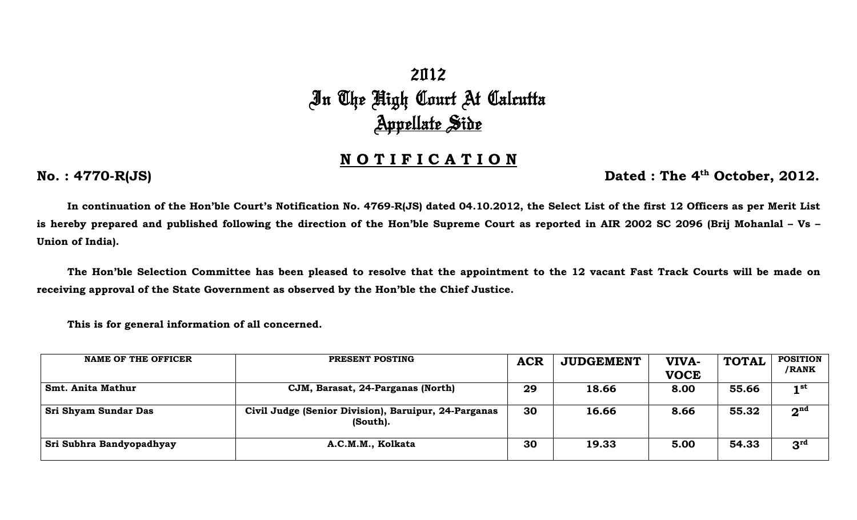## 2012 In The High Court At Calcutta <u>Appellate Side</u>

## **N O T I F I C A T I O N**

**No. : 4770-R(JS) Dated : The 4<sup>th</sup> October, 2012.** 

**In continuation of the Hon'ble Court's Notification No. 4769-R(JS) dated 04.10.2012, the Select List of the first 12 Officers as per Merit List is hereby prepared and published following the direction of the Hon'ble Supreme Court as reported in AIR 2002 SC 2096 (Brij Mohanlal – Vs – Union of India).** 

 **The Hon'ble Selection Committee has been pleased to resolve that the appointment to the 12 vacant Fast Track Courts will be made on receiving approval of the State Government as observed by the Hon'ble the Chief Justice.** 

 **This is for general information of all concerned.** 

| <b>NAME OF THE OFFICER</b> | PRESENT POSTING                                                  | <b>ACR</b> | <b>JUDGEMENT</b> | VIVA-<br><b>VOCE</b> | <b>TOTAL</b> | <b>POSITION</b><br>/RANK |
|----------------------------|------------------------------------------------------------------|------------|------------------|----------------------|--------------|--------------------------|
| <b>Smt. Anita Mathur</b>   | CJM, Barasat, 24-Parganas (North)                                | 29         | 18.66            | 8.00                 | 55.66        | 1 <sup>st</sup>          |
| Sri Shyam Sundar Das       | Civil Judge (Senior Division), Baruipur, 24-Parganas<br>(South). | 30         | 16.66            | 8.66                 | 55.32        | 2 <sup>nd</sup>          |
| Sri Subhra Bandyopadhyay   | A.C.M.M., Kolkata                                                | 30         | 19.33            | 5.00                 | 54.33        | 3 <sup>rd</sup>          |